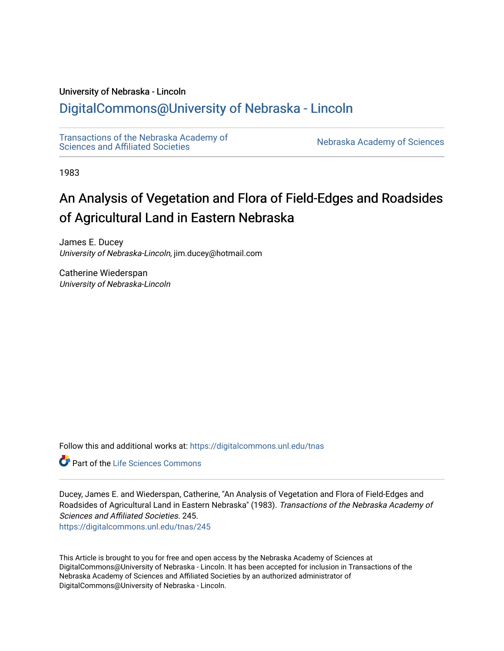#### University of Nebraska - Lincoln

## [DigitalCommons@University of Nebraska - Lincoln](https://digitalcommons.unl.edu/)

[Transactions of the Nebraska Academy of](https://digitalcommons.unl.edu/tnas)  Transactions of the Nebraska Academy of Sciences<br>Sciences and Affiliated Societies

1983

## An Analysis of Vegetation and Flora of Field-Edges and Roadsides of Agricultural Land in Eastern Nebraska

James E. Ducey University of Nebraska-Lincoln, jim.ducey@hotmail.com

Catherine Wiederspan University of Nebraska-Lincoln

Follow this and additional works at: [https://digitalcommons.unl.edu/tnas](https://digitalcommons.unl.edu/tnas?utm_source=digitalcommons.unl.edu%2Ftnas%2F245&utm_medium=PDF&utm_campaign=PDFCoverPages) 

Part of the [Life Sciences Commons](http://network.bepress.com/hgg/discipline/1016?utm_source=digitalcommons.unl.edu%2Ftnas%2F245&utm_medium=PDF&utm_campaign=PDFCoverPages) 

Ducey, James E. and Wiederspan, Catherine, "An Analysis of Vegetation and Flora of Field-Edges and Roadsides of Agricultural Land in Eastern Nebraska" (1983). Transactions of the Nebraska Academy of Sciences and Affiliated Societies. 245.

[https://digitalcommons.unl.edu/tnas/245](https://digitalcommons.unl.edu/tnas/245?utm_source=digitalcommons.unl.edu%2Ftnas%2F245&utm_medium=PDF&utm_campaign=PDFCoverPages) 

This Article is brought to you for free and open access by the Nebraska Academy of Sciences at DigitalCommons@University of Nebraska - Lincoln. It has been accepted for inclusion in Transactions of the Nebraska Academy of Sciences and Affiliated Societies by an authorized administrator of DigitalCommons@University of Nebraska - Lincoln.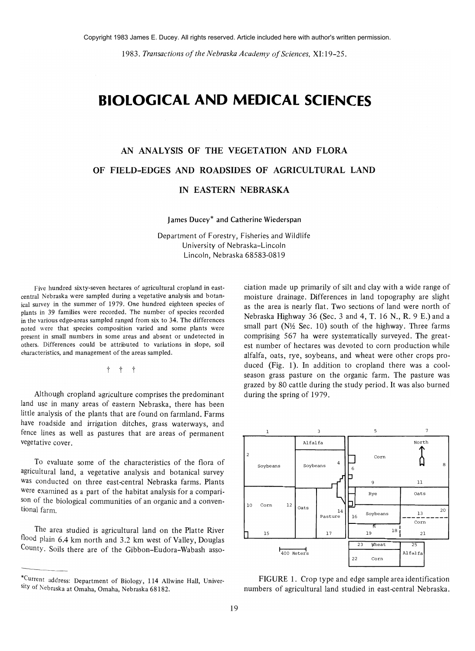*1983. Transactions of the Nebraska Academy of Sciences,* XI: 19-25.

## **BIOLOGICAL AND MEDICAL SCIENCES**

# AN ANALYSIS OF THE VEGETATION AND FLORA OF FIELD-EDGES AND ROADSIDES OF AGRICULTURAL LAND

#### IN EASTERN NEBRASKA

James Ducey\* and Catherine Wiederspan

Department of Forestry, Fisheries and Wildlife University of Nebraska-Lincoln Lincoln, Nebraska 68583-0819

Five hundred sixty-seven hectares of agricultural cropland in eastcentral Nebraska were sampled during a vegetative analysis and botanical survey in the summer of 1979. One hundred eighteen species of plants in 39 families were recorded. The number of species recorded in the various edge-areas sampled ranged from six to 34. The differences noted were that species composition varied and some plants were present in small numbers in some areas and absent or undetected in others. Differences could be attributed to variations in slope, soil characteristics, and management of the areas sampled.

t t t

Although cropland agriculture comprises the predominant land use in many areas of eastern Nebraska, there has been little analysis of the plants that are found on farmland. Farms have roadside and irrigation ditches, grass waterways, and fence lines as well as pastures that are areas of permanent vegetative cover.

To evaluate some of the characteristics of the flora of agricultural land, a vegetative analysis and botanical survey was conducted on three east-central Nebraska farms. Plants were examined as a part of the habitat analysis for a comparison of the biological communities of an organic and a conventional farm.

The area studied is agricultural land on the Platte River flood plain 6.4 km north and 3.2 km west of Valley, Douglas County. Soils there are of the Gibbon-Eudora-Wabash association made up primarily of silt and clay with a wide range of moisture drainage. Differences in land topography are slight as the area is nearly flat. Two sections of land were north of Nebraska Highway 36 (Sec. 3 and 4, T. 16 N., R. 9 E.) and a small part ( $N\frac{1}{2}$  Sec. 10) south of the highway. Three farms comprising 567 ha were systematically surveyed. The greatest number of hectares was devoted to corn production while alfalfa, oats, rye, soybeans, and wheat were other crops produced (Fig. 1). In addition to cropland there was a coolseason grass pasture on the organic farm. The pasture was grazed by 80 cattle during the study period. It was also burned during the spring of 1979.



FIGURE 1. Crop type and edge sample area identification numbers of agricultural land studied in east-central Nebraska.

<sup>\*,</sup>Current address: Department of Biology, 114 Allwine Hall, University of Nebraska at Omaha, Omaha, Nebraska 68182.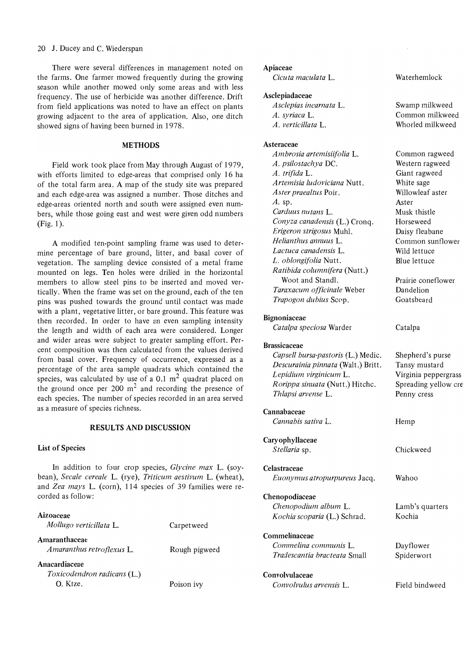#### 20 J. Ducey and C. Wiederspan

There were several differences in management noted on the farms. One farmer mowed frequently during the growing season while another mowed only some areas and with less frequency. The use of herbicide was another difference. Drift from field applications was noted to have an effect on plants growing adjacent to the area of application. Also, one ditch showed signs of having been burned in 1978.

#### **METHODS**

Field work took place from May through August of 1979, with efforts limited to edge-areas that comprised only 16 ha of the total farm area. A map of the study site was prepared and each edge-area was assigned a number. Those ditches and edge-areas oriented north and south were assigned even numbers, while those going east and west were given odd numbers (Fig. I).

A modified ten-point sampling frame was used to determine percentage of bare ground, litter, and basal cover of vegetation. The sampling device consisted of a metal frame mounted on legs. Ten holes were drilled in the horizontal members to allow steel pins to be inserted and moved vertically. When the frame was set on the ground, each of the ten pins was pushed towards the ground until contact was made with a plant, vegetative litter, or bare ground. This feature was then recorded. In order to have an even sampling intensity the length and width of each area were considered. Longer and wider areas were subject to greater sampling effort. Percent composition was then calculated from the values derived from basal cover. Frequency of occurrence, expressed as a percentage of the area sample quadrats which contained the species, was calculated by use of a 0.1  $m<sup>2</sup>$  quadrat placed on the ground once per  $200 \text{ m}^2$  and recording the presence of each species. The number of species recorded in an area served as a measure of species richness.

#### **RESULTS** AND **DISCUSSION**

#### **List** of Species

In addition to four crop species, *Glycine max* L. (soybean), *Secale cereale* L. (rye), *Triticum aestivum* L. (wheat), and *Zea mays* L. (corn), 114 species of 39 families were recorded as follow:

#### Aizoaceae

| Carpetweed    |
|---------------|
| Rough pigweed |
| Poison ivy    |
|               |

#### Apiaceae

*Cicuta maculata* L.

#### Asclepiadaceae

*Asclepias incarnata* L. *A. syriaca* L. *A. verticillata* L.

#### Asteraceae

*Ambrosia artemisiifolia* L. *A. psilostachya* DC. *A. trifida* L. *Artemisia ludoviciana* Nutt. *Aster praealtus* Poir.  $A.$  sp. *Carduus nutans* L. *Conyza canadensis* (L.) Cronq. *Erigeron strigosus* MuhI. *Helianthus annuus* L. *Lactuca canadensis* L. *L. oblongifolia* Nutt. *Ratibida columnifera* (Nutt.) Woot and StandI. *Taraxacum officinale* Weber *Trapogon dubius* Scop.

#### Bignoniaceae

*Catalpa speciosa* Warder

#### Brassicaceae

| Capsell bursa-pastoris (L.) Medic. |
|------------------------------------|
| Descurainia pinnata (Walt.) Britt. |
| Lepidium virginicum L.             |
| Rorippa sinuata (Nutt.) Hitchc.    |
| Thlapsi arvense L.                 |

#### Cannabaceae

Caryophyllaceae *Stellaria* sp. Celastraceae *Euonymus atropurpureus* Jacq.

*Cannabis sativa* L.

Chenopodiaceae *Chenopodium album* L.

*Kochia scoparia* (L.) Schrad.

Commelinaceae *Commelina communis* L.

*Tradescantia bracteata* Small

Convolvulaceae *Convolvulus arvensis* L. Field bindweed

Waterhemlock

Swamp milkweed Common milkweed Whorled milkweed

| Common ragweed   |
|------------------|
|                  |
| Western ragweed  |
| Giant ragweed    |
| White sage       |
| Willowleaf aster |
| Aster            |
| Musk thistle     |
| Horseweed        |
| Daisy fleabane   |
| Common sunflower |
| Wild lettuce     |
| Blue lettuce     |

Prairie coneflower Dandelion Goatsbeard

Catalpa

Shepherd's purse Tansy mustard Virginia peppergrass Spreading yellow cre Penny cress

Hemp

Chickweed

Wahoo

Lamb's quarters Kochia

Dayflower Spiderwort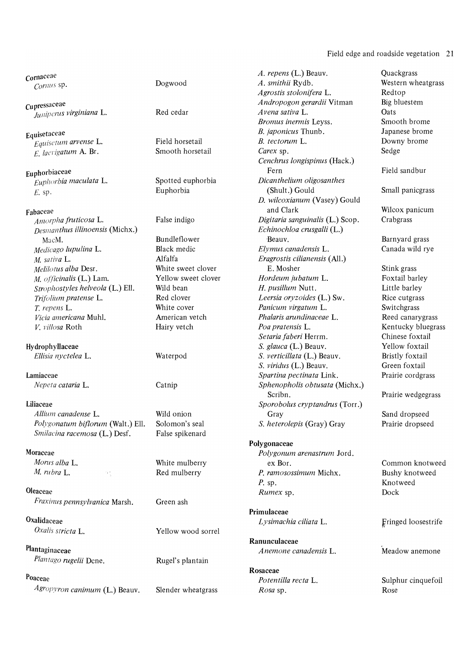#### Field edge and roadside vegetation 21

 $J$ uniperus virginiana L.

*Equisctum arvense L.* 

 $E_{Liphot}$  *Euphorbia maculata* L.

*Deslllanthus illinoensis* (Michx.) *Echinochloa crusgalli* (L.) *M saliva* L. Alfalfa *Eragrostis cilianensis* (All.)

*Allium canadense L.* Wild onion Gray Gray Sand dropseed *Po(vgonatum bif/orum* (Walt.) Ell. Solomon's seal S. *heterolepis* (Gray) Gray Prairie drapseed *Smilacina racemosa* (L.) Desf. False spikenard

Oleaceae *Rumex* sp. Dock *Fraxilllls pennsylvanica* Marsh. Green ash

*Plantago rugelii Dcne.* Rugel's plantain

*Agropyron canimum* (L.) Beauv. Slender wheatgrass *Rosa* sp. **Rose** Rose

| Jogwood |  |  |
|---------|--|--|
|         |  |  |

Yellow wood sorrel

**Cornaceae**<br>
Cornaceae **Cornaceae Cornaceae Cornaceae Cornaceae Cornaceae Cornaceae Cornaceae Cornaceae Cornaceae Cornaceae Cornaceae Cornaceae Cornaceae Cornaceae Cornaceae Cornaceae Cornac** *Comlls* sp. Dogwood *A. smithii* Rydb. Western wheatgrass *Agrostis stolonifera* L. Redtop cupressaceae . . . *Andropogon gerardii* Vitman Big bluest em *Bromus inermis Leyss.* Smooth brome Equisetaceae *B. japonicus* Thunb. Japanese brome<br> *Equisetum arvense* L. Field horsetail *B. tectorum L.* Downy brome *B. tectorum L.* Downy brome *E. lacvigatum* **A. Br.** Smooth horsetail *Carex* sp. Sedge *Cenchrus longispinus* (Hack.) Euphorbiaceae Fern Fern Field sandbur<br>Fuphorbia maculata L. Spotted euphorbia *Dicanthelium oligosanthes* Field sandbur *E.* sp. **Euphorbia Euphorbia Euphorbia (Shult.)** Gould **Small panicgrass** *D. wilcoxianum* (Vasey) Gould Fabaceae and Clark Wilcox panicum and Clark Wilcox panicum and Clark Wilcox panicum and Clark Wilcox panicum *Digitaria sanguinalis* (L.) Scop. MacM. Bundleflower Beauv. Beauv. Barnyard grass *Medicago lupulina* L. Black medic *Elymus canadensis* L. Canada wild rye *Melilotus alba* Desr. **White sweet clover** E. Mosher Stink grass *M. of.{icinalis* (L.) Lam. Yellow sweet clover *Hordeum jubatum* L. Foxtail barley *Strophostyles helveola* (L.) Ell. Wild bean H. *pusillum Nutt.* Little barley *Trijc)lium pratense* L. Red clover *Leersia oryzoides* (L.) Sw. Rice cutgrass T. *repens* L. White cover *Panicum virga tum* L. Switchgrass *Vicia americana* Muhl. American vetch *Phalaris arundinaceae* L. Reed canarygrass *V. villosa* Roth Hairy vetch *Poa pratensis* L. Kentucky bluegrass *Setaria faberi* Herrm. Chinese foxtail HydrophylIaeeae S. *glauca* (L.) Beauv. Yellow foxtail *Ellisia nyctelea* L. Waterpod S. *verticillata* (L.) Beauv. Bristly foxtail S. *viridus* (L.) Beauv. Green foxtail Lamiaceae *Spartina pectinata* Link. Prairie cordgrass *Nepcta cataria* L. Catnip *Sphenopholis obtusata* (Michx.) Scribn. Prairie wedgegrass Liliaceae *Sporobolus cryptandrus* (Torr.)

### Polygonaceae Moraceae *Polygonum arenastrum* Jord. *Morns alba* L. White mulberry ex Bor. Common knotweed *M. rubra* L. **Red mulberry** *P. ramosossimum* Michx. Bushy knotweed *P.* sp. Knotweed

Primulaceae Oxalidaceae *Lysimachia ciliata* L. Fringed loosestrife *Cyclis stricta* I.

Ranunculaceae Plantaginaceae *Anemone canadensis* L. Meadow anemone

Rosaceae Poaceae *Potentilla recta* L. Sulphur cinquefoil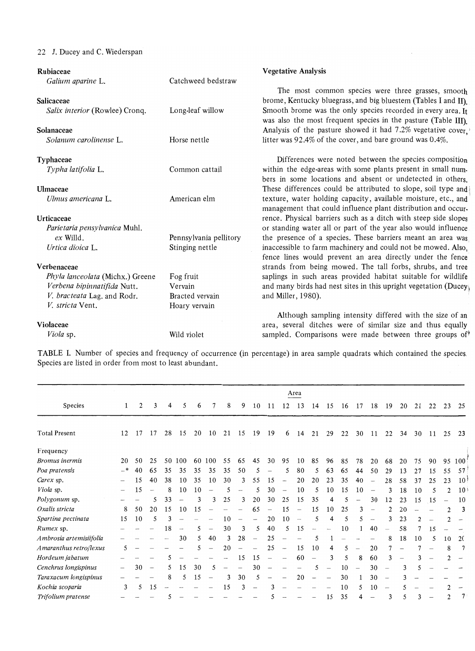### 22 J. Ducey and C. Wiederspan

| Rubiaceae                        |                        | <b>Vegetative Analysis</b>                                       |
|----------------------------------|------------------------|------------------------------------------------------------------|
| Galium aparine L.                | Catchweed bedstraw     |                                                                  |
|                                  |                        | The most common species were three grasses, smooth               |
| Salicaceae                       |                        | brome, Kentucky bluegrass, and big bluestem (Tables I and II).   |
| Salix interior (Rowlee) Cronq.   | Long-leaf willow       | Smooth brome was the only species recorded in every area. It     |
|                                  |                        | was also the most frequent species in the pasture (Table III).   |
| Solanaceae                       |                        | Analysis of the pasture showed it had 7.2% vegetative cover,     |
| Solanum carolinense L.           | Horse nettle           | litter was 92.4% of the cover, and bare ground was 0.4%.         |
| <b>Typhaceae</b>                 |                        | Differences were noted between the species composition           |
| Typha latifolia L.               | Common cattail         | within the edge-areas with some plants present in small num-     |
|                                  |                        | bers in some locations and absent or undetected in others.       |
| Ulmaceae                         |                        | These differences could be attributed to slope, soil type and    |
| Ulmus americana L.               | American elm           | texture, water holding capacity, available moisture, etc., and   |
|                                  |                        | management that could influence plant distribution and occur-    |
| Urticaceae                       |                        | rence. Physical barriers such as a ditch with steep side slopes  |
| Parietaria pensylvanica Muhl.    |                        | or standing water all or part of the year also would influence   |
| $ex$ Willd.                      | Pennsylvania pellitory | the presence of a species. These barriers meant an area was      |
| Urtica dioica L.                 | Stinging nettle        | inaccessible to farm machinery and could not be mowed. Also,     |
|                                  |                        | fence lines would prevent an area directly under the fence       |
| Verbenaceae                      |                        | strands from being mowed. The tall forbs, shrubs, and tree       |
| Phyla lanceolata (Michx.) Greene | Fog fruit              | saplings in such areas provided habitat suitable for wildlife    |
| Verbena bipinnatifida Nutt.      | Vervain                | and many birds had nest sites in this upright vegetation (Ducey) |
| V. bracteata Lag. and Rodr.      | Bracted vervain        | and Miller, 1980).                                               |
| V. stricta Vent.                 | Hoary vervain          |                                                                  |
|                                  |                        | Although sampling intensity differed with the size of an         |
| Violaceae                        |                        | area, several ditches were of similar size and thus equally      |
| Viola sp.                        | Wild violet            | sampled. Comparisons were made between three groups of           |

TABLE I. Number of species and frequency of occurrence (in percentage) in area sample quadrats which contained the species. Species are listed in order from most to least abundant.

|                         |                 |    |                                 |    |                          |    |                          |    |    |                          |    |                          | Area                     |                          |    |    |                          |                          |                          |    |    |                          |                |                 |
|-------------------------|-----------------|----|---------------------------------|----|--------------------------|----|--------------------------|----|----|--------------------------|----|--------------------------|--------------------------|--------------------------|----|----|--------------------------|--------------------------|--------------------------|----|----|--------------------------|----------------|-----------------|
| Species                 | 1               | 2  | 3                               | 4  | 5                        | 6  | 7                        | 8  | 9  | 10                       | 11 | 12                       | 13                       | 14                       | 15 | 16 | 17                       | 18                       | 19                       | 20 | 21 | 22                       | 23             | 25              |
| <b>Total Present</b>    | 12              | 17 | 17                              | 28 | 15                       | 20 | 10                       | 21 | 15 | 19                       | 19 | 6                        | 14                       | 21                       | 29 | 22 | 30                       | 11                       | 22                       | 34 | 30 | 11                       | 25             | 23              |
| Frequency               |                 |    |                                 |    |                          |    |                          |    |    |                          |    |                          |                          |                          |    |    |                          |                          |                          |    |    |                          |                |                 |
| <b>Bromus</b> inermis   | 20              | 50 | 25                              | 50 | 100                      | 60 | 100                      | 55 | 65 | 45                       | 30 | 95                       | 10                       | 85                       | 96 | 85 | 78                       | 20                       | 68                       | 20 | 75 | 90                       | 95             | 100             |
| Poa pratensis           | —*              | 40 | 65                              | 35 | 35                       | 35 | 35                       | 35 | 50 | 5                        |    | 5                        | 80                       | 5                        | 63 | 65 | 44                       | 50                       | 29                       | 13 | 27 | 15                       | 55             | 57              |
| Carex sp.               |                 | 15 | 40                              | 38 | 10                       | 35 | 10                       | 30 | 3  | 55                       | 15 | $\overline{\phantom{a}}$ | 20                       | 20                       | 23 | 35 | 40                       |                          | 28                       | 58 | 37 | 25                       | 23             | 10 <sup>1</sup> |
| Viola sp.               | $\qquad \qquad$ | 15 |                                 | 8  | 10                       | 10 | ---                      |    |    | 5                        | 30 | $\overline{\phantom{a}}$ | 10                       | 5                        | 10 | 15 | 10                       |                          |                          | 18 | 10 | 5                        | 2              | 10 <sup>1</sup> |
| Polygonum sp.           |                 |    | 5                               | 33 |                          | 3  | 3                        | 25 | 3  | 20                       | 30 | 25                       | 15                       | 35                       | 4  |    |                          | 30                       | 12                       | 23 | 15 | 15                       |                | 10 <sup>°</sup> |
| Oxalis stricta          | 8               | 50 | 20                              | 15 | 10                       | 15 |                          |    |    | 65                       |    | 15                       |                          | 15                       | 10 | 25 |                          |                          | 2                        | 20 |    |                          | $\overline{2}$ | 3               |
| Spartina pectinata      | 15              | 10 | 5                               | 3  |                          |    |                          | 10 |    |                          | 20 | 10                       | $\overline{\phantom{a}}$ | 5                        | 4  | 5  |                          |                          |                          | 23 |    |                          |                |                 |
| Rumex sp.               |                 |    |                                 | 18 | $\overline{\phantom{a}}$ | 5. | $\overline{\phantom{0}}$ | 30 | 3  | 5                        | 40 | 5                        | 15                       |                          |    | 10 |                          | 40                       |                          | 58 |    | 15                       |                |                 |
| Ambrosia artemisiifolia |                 |    |                                 |    | 30                       | 5  | 40                       | 3  | 28 | $\overline{\phantom{0}}$ | 25 |                          |                          | 5                        |    |    |                          |                          | 8                        | 18 | 10 | 5                        | 10             | 2(              |
| Amaranthus retroflexus  | 5               |    |                                 |    |                          | 5  |                          | 20 |    |                          | 25 | $\hspace{0.05cm}$        | 15                       | 10                       | 4  | 5  |                          | 20                       |                          |    |    |                          | 8              |                 |
| Hordeum jabatum         |                 |    |                                 | 5  |                          |    |                          |    | 15 | 15                       | -  | $\overline{\phantom{0}}$ | 60                       | $\overline{\phantom{0}}$ | 3  | 5  | 8                        | 60                       | 3                        |    |    |                          | 2              | -               |
| Cenchrus longispinus    |                 | 30 | $\hspace{0.1mm}-\hspace{0.1mm}$ | 5  | 15                       | 30 | 5                        |    | -  | 30                       |    |                          |                          | 5                        |    | 10 | $\overline{\phantom{0}}$ | 30                       |                          | 3  |    |                          |                |                 |
| Taraxacum longispinus   |                 |    |                                 | 8  | 5                        | 15 |                          | 3  | 30 | 5                        |    |                          | 20                       |                          |    | 30 |                          | 30                       |                          |    |    |                          |                |                 |
| Kochia scoparia         | 3               | 5  | 15                              |    |                          |    |                          | 15 | 3  |                          | 3  |                          |                          |                          |    | 10 | 5.                       | 10                       | $\overline{\phantom{0}}$ |    |    |                          | 2              |                 |
| Trifolium pratense      |                 |    |                                 |    |                          |    |                          |    |    |                          |    |                          |                          |                          | 15 | 35 | 4                        | $\overline{\phantom{m}}$ | 3                        | 5  | 3  | $\overline{\phantom{0}}$ | 2              |                 |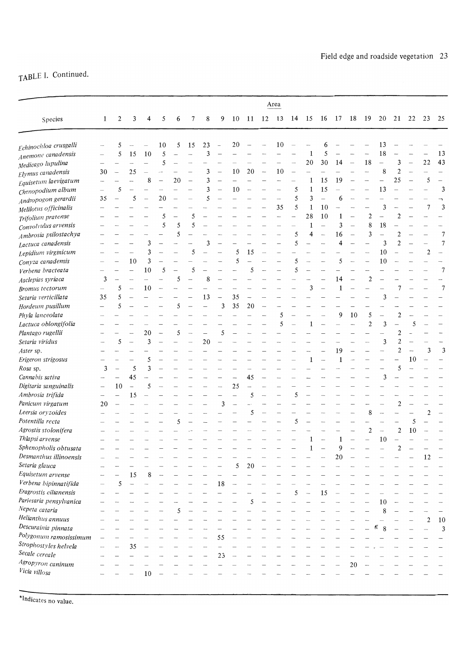# TABLE I. Continued.

|                         |    |                          |               |                          |                          |    |                          |                          |                          |        |                          |                          | Area                     |                          |                          |                          |                |                          |                          |                          |                          |                          |                          |                          |
|-------------------------|----|--------------------------|---------------|--------------------------|--------------------------|----|--------------------------|--------------------------|--------------------------|--------|--------------------------|--------------------------|--------------------------|--------------------------|--------------------------|--------------------------|----------------|--------------------------|--------------------------|--------------------------|--------------------------|--------------------------|--------------------------|--------------------------|
| Species                 | 1  | 2                        | 3             | 4                        | 5                        | 6  | 7                        | 8                        | 9                        | 10     | 11                       | 12                       | 13                       | 14                       | 15                       | 16                       | 17             | 18                       | 19                       | 20                       | 21                       | 22                       | 23                       | 25                       |
| Echinochloa crusgalli   |    | 5                        |               |                          | 10                       | 5  | 15                       | 23                       | $\overline{\phantom{0}}$ | 20     |                          |                          | 10                       |                          |                          | 6                        |                |                          |                          | 13                       |                          |                          |                          |                          |
| Anemone canadensis      |    | 5                        | 15            | 10                       | 5                        |    |                          | 3                        |                          |        |                          |                          |                          |                          | $\mathbf{1}$             | 5                        |                |                          |                          | 18                       |                          |                          |                          | 13                       |
| Medicago lupulina       |    |                          |               | $\overline{\phantom{a}}$ | 5                        |    |                          |                          |                          |        |                          |                          |                          |                          | 20                       | 30                       | 14             | $\overline{\phantom{a}}$ | 18                       | $\overline{\phantom{0}}$ | 3                        |                          | 22                       | 43                       |
| Elymus canadensis       | 30 |                          | 25            |                          |                          |    |                          | 3                        | $\overline{\phantom{0}}$ | 10     | 20                       | $\overline{\phantom{m}}$ | 10                       |                          | $\overline{\phantom{0}}$ |                          |                |                          | $\overline{\phantom{a}}$ | 8                        | $\overline{c}$           |                          |                          | $\overline{\phantom{0}}$ |
| Equisetum laevigatum    |    |                          |               | 8                        | $\overline{\phantom{0}}$ | 20 | $\overline{\phantom{0}}$ | 3                        |                          |        |                          |                          | $\overline{\phantom{0}}$ |                          | $\mathbf{1}$             | 15                       | 19             |                          |                          | $\overline{\phantom{0}}$ | 25                       |                          | 5                        |                          |
| Chenopodium album       |    | 5                        |               | $\overline{\phantom{0}}$ | $\overline{\phantom{a}}$ |    |                          | 3                        | $\overline{\phantom{0}}$ | 10     | $\overline{a}$           |                          |                          | 5                        | $\mathbf{1}$             | 15                       |                |                          |                          | 13                       |                          |                          |                          | 3                        |
| Andropogon gerardii     | 35 |                          | 5             |                          | 20                       |    |                          | 5                        | $\overline{a}$           |        |                          |                          |                          | 5                        | 3                        | $\overline{\phantom{0}}$ | 6              |                          |                          |                          |                          |                          |                          | F                        |
| Melilotus officinalis   |    |                          |               |                          |                          |    |                          |                          |                          |        |                          | $\overline{\phantom{0}}$ | 35                       | 5                        | $\mathbf{1}$             | 10                       |                |                          |                          | 3                        |                          |                          | 7                        | 3                        |
| Trifolium pratense      |    |                          |               |                          | 5                        |    | 5                        |                          |                          |        |                          |                          |                          | $\overline{\phantom{a}}$ | 28                       | 10                       | 1              |                          | $\overline{2}$           |                          | 2                        |                          |                          |                          |
| Convolvulus arvensis    |    |                          |               |                          | 5                        | 5  | 5                        |                          |                          |        |                          |                          |                          |                          | $\mathbf 1$              | $\overline{\phantom{0}}$ | $\overline{3}$ | $\overline{\phantom{0}}$ | 8                        | 18                       |                          |                          |                          |                          |
| Ambrosia psilostachya   |    |                          |               |                          |                          | 5  |                          |                          |                          |        |                          |                          |                          | 5                        | 4                        | $\overline{\phantom{a}}$ | 16             |                          | 3                        |                          | $\overline{2}$           |                          |                          | $\overline{7}$           |
| Lactuca canadensis      |    |                          |               | 3                        |                          |    |                          | 3                        |                          |        |                          |                          |                          | 5                        |                          | $\overline{\phantom{a}}$ | 4              |                          |                          | 3                        | $\overline{2}$           |                          | $\overline{\phantom{a}}$ | $\overline{7}$           |
| Lepidium virginicum     |    |                          |               | 3                        | $\overline{\phantom{a}}$ |    | 5                        | $\overline{\phantom{0}}$ | $\overline{\phantom{a}}$ | 5      | 15                       |                          |                          |                          |                          |                          |                |                          |                          | 10                       |                          |                          | $\overline{2}$           | $\overline{\phantom{0}}$ |
| Conyza canadensis       |    |                          | 10            | 3                        |                          |    |                          |                          |                          | 5      |                          |                          |                          | 5                        |                          |                          | 5              |                          |                          | 10                       |                          |                          |                          |                          |
| Verbena bracteata       |    |                          |               | 10                       | 5                        |    | 5                        |                          |                          |        | 5                        |                          |                          | 5                        |                          |                          |                |                          |                          |                          |                          |                          |                          | 7                        |
| Asclepias syriaca       | 3  |                          |               |                          |                          | 5  |                          | 8                        |                          |        |                          |                          |                          |                          |                          |                          | 14             |                          | $\overline{2}$           |                          |                          |                          |                          |                          |
| <b>Bromus</b> tectorum  |    | 5                        |               | 10                       |                          |    |                          |                          |                          |        |                          |                          |                          |                          | 3                        |                          | 1              |                          |                          |                          |                          |                          |                          | $\overline{7}$           |
| Setaria verticillata    | 35 | 5                        |               |                          |                          |    |                          | 13                       | <b>Letter</b>            | 35     | $\overline{\phantom{a}}$ |                          |                          |                          |                          |                          |                |                          |                          | 3                        |                          |                          |                          |                          |
| Hordeum pusillum        |    | 5                        |               |                          |                          | 5  | $\overline{\phantom{a}}$ | $\overline{\phantom{0}}$ | 3                        | 35     | 20                       |                          |                          |                          |                          |                          |                |                          |                          |                          |                          |                          |                          |                          |
| Phyla lanceolata        |    |                          |               |                          |                          |    |                          |                          |                          |        |                          |                          | 5                        |                          |                          |                          | 9              | 10                       | 5                        |                          | 2                        |                          |                          |                          |
| Lactuca oblongifolia    |    |                          |               |                          |                          |    |                          |                          |                          |        |                          |                          | 5                        |                          | $\mathbf{1}$             |                          |                |                          | $\overline{2}$           | 3                        |                          | 5                        |                          |                          |
| Plantago rugellii       |    |                          |               | 20                       | $\overline{\phantom{a}}$ | 5  |                          |                          | 5                        |        |                          |                          |                          |                          |                          |                          |                |                          |                          |                          | 2                        |                          |                          |                          |
| Setaria viridus         |    | 5                        |               | 3                        |                          |    |                          | 20                       |                          |        |                          |                          |                          |                          |                          |                          |                |                          |                          | 3                        | $\overline{2}$           |                          |                          |                          |
| Aster sp.               |    |                          |               |                          |                          |    |                          |                          |                          |        |                          |                          |                          |                          |                          |                          | 19             |                          |                          |                          | $\overline{c}$           | $\overline{\phantom{a}}$ | 3                        | 3                        |
| Erigeron strigosus      |    |                          |               | 5                        |                          |    |                          |                          |                          |        |                          |                          |                          |                          | $\mathbf{1}$             | $\overline{\phantom{a}}$ | $\mathbf 1$    |                          |                          |                          |                          | 10                       |                          |                          |
| Rosa sp.                | 3  |                          | 5             | 3                        |                          |    |                          |                          |                          |        |                          |                          |                          |                          |                          |                          |                |                          |                          |                          | 5                        |                          |                          |                          |
| Cannabis sativa         |    |                          | 45            |                          |                          |    |                          |                          |                          |        | 45                       |                          |                          |                          |                          |                          |                |                          |                          | 3                        |                          |                          |                          |                          |
| Digitaria sanguinalis   |    | 10                       | $\frac{1}{2}$ | 5                        |                          |    |                          |                          |                          | 25     | $\overline{\phantom{a}}$ |                          |                          |                          |                          |                          |                |                          |                          |                          |                          |                          |                          |                          |
| Ambrosia trifida        |    | $\overline{\phantom{0}}$ | 15            |                          |                          |    |                          |                          |                          |        | 5                        | $\overline{\phantom{a}}$ |                          | 5                        |                          |                          |                |                          |                          |                          |                          |                          |                          |                          |
| Panicum virgatum        | 20 | $\overline{\phantom{0}}$ |               |                          |                          |    |                          |                          | 3                        | $\sim$ |                          |                          |                          |                          |                          |                          |                |                          |                          |                          | $\overline{c}$           |                          |                          |                          |
| Leersia oryzoides       |    |                          |               |                          |                          |    |                          |                          |                          |        | 5                        | $\overline{\phantom{a}}$ |                          |                          |                          |                          |                |                          | 8                        | $\overline{\phantom{a}}$ |                          |                          | 2                        |                          |
| Potentilla recta        |    |                          |               |                          |                          | 5  |                          |                          |                          |        |                          |                          |                          | 5                        |                          |                          |                |                          |                          |                          |                          | 5                        |                          |                          |
| Agrostis stolonifera    |    |                          |               |                          |                          |    |                          |                          |                          |        |                          |                          |                          |                          |                          |                          |                |                          | $\overline{c}$           |                          | $\mathbf{2}$             | 10                       |                          |                          |
| Thlapsi arvense         |    |                          |               |                          |                          |    |                          |                          |                          |        |                          |                          |                          |                          | 1                        |                          | 1              |                          | $\overline{\phantom{0}}$ | 10                       | $\overline{\phantom{a}}$ |                          |                          |                          |
| Sphenopholis obtusata   |    |                          |               |                          |                          |    |                          |                          |                          |        |                          |                          |                          |                          | 1                        |                          | 9              |                          |                          |                          | 2                        |                          |                          |                          |
| Desmanthus illinoensis  |    |                          |               |                          |                          |    |                          |                          |                          |        |                          |                          |                          |                          |                          |                          | 20             |                          |                          |                          |                          |                          | 12                       |                          |
| Setaria glauca          |    |                          |               |                          |                          |    |                          |                          |                          | 5      | 20                       |                          |                          |                          |                          |                          |                |                          |                          |                          |                          |                          |                          |                          |
| Equisetum arvense       |    |                          | 15            | 8                        |                          |    |                          |                          |                          |        |                          |                          |                          |                          |                          |                          |                |                          |                          |                          |                          |                          |                          |                          |
| Verbena bipinnatifida   |    | 5                        |               |                          |                          |    |                          |                          | 18                       |        |                          |                          |                          |                          |                          |                          |                |                          |                          |                          |                          |                          |                          |                          |
| Eragrostis cilianensis  |    |                          |               |                          |                          |    |                          |                          |                          |        |                          |                          |                          | 5                        |                          | 15                       |                |                          |                          |                          |                          |                          |                          |                          |
| Parietaria pensylvanica |    |                          |               |                          |                          |    |                          |                          |                          |        | 5                        |                          |                          |                          |                          |                          |                |                          |                          | 10                       |                          |                          |                          |                          |
| Nepeta cataria          |    |                          |               |                          |                          | 5  |                          |                          |                          |        |                          |                          |                          |                          |                          |                          |                |                          |                          | 8                        |                          |                          |                          |                          |
| Helianthus annuus       |    |                          |               |                          |                          |    |                          |                          |                          |        |                          |                          |                          |                          |                          |                          |                |                          |                          |                          |                          |                          | $\overline{c}$           | 10                       |
| Descurainia pinnata     |    |                          |               |                          |                          |    |                          |                          |                          |        |                          |                          |                          |                          |                          |                          |                |                          |                          | ĸ<br>8                   |                          |                          |                          | 3                        |
| Polygonum ramosissimum  |    |                          |               |                          |                          |    |                          |                          | 55                       |        |                          |                          |                          |                          |                          |                          |                |                          |                          |                          |                          |                          |                          |                          |
| Strophostyles helvela   |    |                          | 35            |                          |                          |    |                          |                          |                          |        |                          |                          |                          |                          |                          |                          |                |                          |                          |                          |                          |                          |                          |                          |
| Secale cereale          |    |                          |               |                          |                          |    |                          |                          | 23                       |        |                          |                          |                          |                          |                          |                          |                |                          |                          |                          |                          |                          |                          |                          |
| Agropyron caninum       |    |                          |               |                          |                          |    |                          |                          |                          |        |                          |                          |                          |                          |                          |                          |                | 20                       |                          |                          |                          |                          |                          |                          |
| Vicia villosa           |    |                          |               | 10                       |                          |    |                          |                          |                          |        |                          |                          |                          |                          |                          |                          |                |                          |                          |                          |                          |                          |                          |                          |
|                         |    |                          |               |                          |                          |    |                          |                          |                          |        |                          |                          |                          |                          |                          |                          |                |                          |                          |                          |                          |                          |                          |                          |

-'Indicates no value.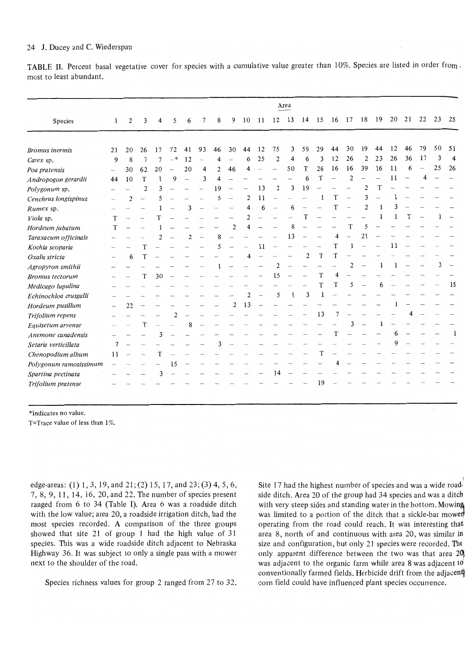#### 24 J. Ducey and C. Wiederspan

TABLE II. Percent basal vegetative cover for species with a cumulative value greater than 10%. Species are listed in order from most to least abundant.

|                        |                   |    |                |                |                |                |    |                |                          |                |    |                | Area |                |    |    |                         |                |    |    |    |    |    |    |
|------------------------|-------------------|----|----------------|----------------|----------------|----------------|----|----------------|--------------------------|----------------|----|----------------|------|----------------|----|----|-------------------------|----------------|----|----|----|----|----|----|
| Species                | 1                 | 2  | 3              | 4              | 5              | 6              | 7  | 8              | 9                        | 10             | 11 | 12             | 13   | 14             | 15 | 16 | 17                      | 18             | 19 | 20 | 21 | 22 | 23 | 25 |
|                        |                   |    |                |                |                |                |    |                |                          |                |    |                |      |                |    |    |                         |                |    |    |    |    |    |    |
| Bromus inermis         | 21                | 20 | 26             | 17             | 72             | 41             | 93 | 46             | 30                       | 44             | 12 | 75             | 3    | 59             | 29 | 44 | 30                      | 19             | 44 | 12 | 46 | 79 | 50 | 51 |
| Carex sp.              | 9                 | 8  | 7              | 7              | $-$ *          | 12             |    | 4              | $\overline{\phantom{a}}$ | 6              | 25 | 2              | 4    | 6              | 3  | 12 | 26                      | $\overline{2}$ | 23 | 26 | 36 | 17 | 3  | 4  |
| Poa pratensis          | $\hspace{0.02in}$ | 30 | 62             | 20             |                | 20             | 4  | $\overline{c}$ | 46                       | Δ              |    |                | 50   | T              | 26 | 16 | 16                      | 39             | 16 | 11 | 6  |    | 25 | 26 |
| Andropogon gerardii    | 44                | 10 | T              |                | 9              |                | 3  | 4              |                          |                |    |                |      | 6              | T  | -  | $\overline{2}$          |                |    | 11 |    |    |    |    |
| Polygonum sp.          |                   |    | $\overline{2}$ | 3              |                |                |    | 19             |                          |                | 13 | 2              | 3    | 19             |    |    |                         | 2              | T  |    |    |    |    |    |
| Cenchrus longispinus   |                   | 2  |                | 5              |                |                |    | 5              |                          | 2              | 11 |                |      |                | 1  | T  |                         | 3              |    |    |    |    |    |    |
| Rumex sp.              |                   |    |                |                |                | 3              |    |                |                          | 4              | 6  |                | 6    |                |    | T  |                         | $\overline{2}$ | 1  | 3  |    |    |    |    |
| Viola sp.              | T                 |    |                | T              |                |                |    |                |                          | $\overline{c}$ |    |                |      | T              |    |    |                         |                |    | 1  | T  |    |    |    |
| Hordeum jubatum        | T                 |    |                |                |                |                |    |                | $\overline{c}$           | Δ              |    |                | 8    |                |    |    | T                       | 5              |    |    |    |    |    |    |
| Taraxacum officinale   |                   |    |                | $\overline{c}$ |                | $\overline{2}$ |    | 8              |                          |                |    |                | 13   |                |    |    |                         | 21             |    |    |    |    |    |    |
| Kochia scoparia        |                   |    | T              |                |                |                |    | 5              |                          |                | 11 | $\sim$         |      |                |    | T  |                         |                |    | 11 |    |    |    |    |
| Oxalis stricta         |                   | 6  | T              |                |                |                |    |                |                          | 4              |    |                |      | $\overline{2}$ | T  | T  |                         |                |    |    |    |    |    |    |
| Agropyron smithii      |                   |    |                |                |                |                |    |                |                          |                |    | $\overline{c}$ |      |                |    |    | $\overline{\mathbf{c}}$ |                |    |    |    |    | 3  |    |
| <b>Bromus</b> tectorum |                   |    |                | 30             |                |                |    |                |                          |                |    | 15             |      |                | T  | 4  |                         |                |    |    |    |    |    |    |
| Medicago lupulina      |                   |    |                |                |                |                |    |                |                          |                |    |                |      |                | T  | T  | 5                       |                | 6  |    |    |    |    | 15 |
| Echinochloa crusgalli  |                   |    |                |                |                |                |    |                |                          | $\overline{c}$ |    | 5              | 1    | 3              | 1  |    |                         |                |    |    |    |    |    |    |
| Hordeum pusillum       |                   | 22 |                |                |                |                |    |                | 2                        | 13             |    |                |      |                |    |    |                         |                |    |    |    |    |    |    |
| Trifolium repens       |                   |    |                |                | $\overline{c}$ |                |    |                |                          |                |    |                |      |                | 13 |    |                         |                |    |    |    |    |    |    |
| Equisetum arvense      |                   |    | T              |                |                | 8              |    |                |                          |                |    |                |      |                |    |    |                         |                |    |    |    |    |    |    |
| Anemone canadensis     |                   |    |                | 3              |                |                |    |                |                          |                |    |                |      |                |    | T  |                         |                |    | 6  |    |    |    |    |
| Setaria verticillata   | 7                 |    |                |                |                |                |    | 3              |                          |                |    |                |      |                |    |    |                         |                |    | 9  |    |    |    |    |
| Chenopodium album      | 11                |    |                | T              |                |                |    |                |                          |                |    |                |      |                | T  |    |                         |                |    |    |    |    |    |    |
| Polygonum ramosissimum |                   |    |                |                | 15             |                |    |                |                          |                |    |                |      |                |    | 4  |                         |                |    |    |    |    |    |    |
| Spartina pectinata     |                   |    |                | 3              |                |                |    |                |                          |                |    | 14             |      |                |    |    |                         |                |    |    |    |    |    |    |
| Trifolium pratense     |                   |    |                |                |                |                |    |                |                          |                |    |                |      |                | 19 |    |                         |                |    |    |    |    |    |    |

\*Indicates no value.

T=Trace value of less than  $1\%$ .

edge-areas: (1) 1, 3, 19, and 21; (2) 15, 17, and 23; (3) 4, 5, 6, 7, 8, 9, 11, 14, 16, 20, and 22. The number of species present ranged from 6 to 34 (Table I). Area 6 was a roadside ditch with the low value; area 20, a roadside irrigation ditch, had the most species recorded. A comparison of the three groups showed that site  $21$  of group 1 had the high value of  $31$ species. This was a wide roadside ditch adjacent to Nebraska Highway 36. It was subject to only a single pass with a mower next to the shoulder of the road.

Species richness values for group 2 ranged from 27 to 32.

Site 17 had the highest number of species and was a wide road· side ditch. Area 20 of the group had 34 species and was a ditch with very steep sides and standing water in the bottom. Mowing was limited to a portion of the ditch that a sickle-bar mower operating from the road could reach. It was interesting that, area 8, north of and continuous with area 20, was similar in size and configuration, but only 21 species were recorded. The only apparent difference between the two was that area  $20<sup>h</sup>$  was adjacent to the organic farm while area 8 was adjacent to conventionally farmed fields. Herbicide drift from the adjacent corn field could have influenced plant species occurrence.

 $\mathbf{i}$